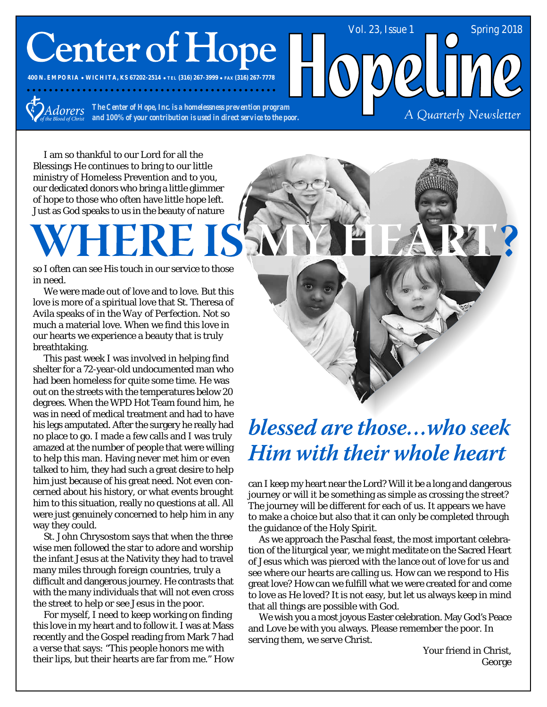# **Center of Hope**

**400 N. EMPORIA WICHITA, KS 67202-2514 TEL (316) 267-3999 FAX (316) 267-7778**

*Adorers* 

*The Center of Hope, Inc. is a homelessness prevention program and 100% of your contribution is used in direct service to the poor.*

A Quarterly Newsletter

Vol. 23, Issue 1 Spring 2018

I am so thankful to our Lord for all the Blessings He continues to bring to our little ministry of Homeless Prevention and to you, our dedicated donors who bring a little glimmer of hope to those who often have little hope left. Just as God speaks to us in the beauty of nature

so I often can see His touch in our service to those in need.

We were made out of love and to love. But this love is more of a spiritual love that St. Theresa of Avila speaks of in the *Way of Perfection*. Not so much a material love. When we find this love in our hearts we experience a beauty that is truly breathtaking.

This past week I was involved in helping find shelter for a 72-year-old undocumented man who had been homeless for quite some time. He was out on the streets with the temperatures below 20 degrees. When the WPD Hot Team found him, he was in need of medical treatment and had to have his legs amputated. After the surgery he really had no place to go. I made a few calls and I was truly amazed at the number of people that were willing to help this man. Having never met him or even talked to him, they had such a great desire to help him just because of his great need. Not even concerned about his history, or what events brought him to this situation, really no questions at all. All were just genuinely concerned to help him in any way they could.

St. John Chrysostom says that when the three wise men followed the star to adore and worship the infant Jesus at the Nativity they had to travel many miles through foreign countries, truly a difficult and dangerous journey. He contrasts that with the many individuals that will not even cross the street to help or see Jesus in the poor.

For myself, I need to keep working on finding this love in my heart and to follow it. I was at Mass recently and the Gospel reading from Mark 7 had a verse that says: "This people honors me with their lips, but their hearts are far from me." How



**Him with their whole heart** 

can I keep my heart near the Lord? Will it be a long and dangerous journey or will it be something as simple as crossing the street? The journey will be different for each of us. It appears we have to make a choice but also that it can only be completed through the guidance of the Holy Spirit.

As we approach the Paschal feast, the most important celebration of the liturgical year, we might meditate on the Sacred Heart of Jesus which was pierced with the lance out of love for us and see where our hearts are calling us. How can we respond to His great love? How can we fulfill what we were created for and come to love as He loved? It is not easy, but let us always keep in mind that all things are possible with God.

We wish you a most joyous Easter celebration. May God's Peace and Love be with you always. Please remember the poor. In serving them, we serve Christ.

> Your friend in Christ, George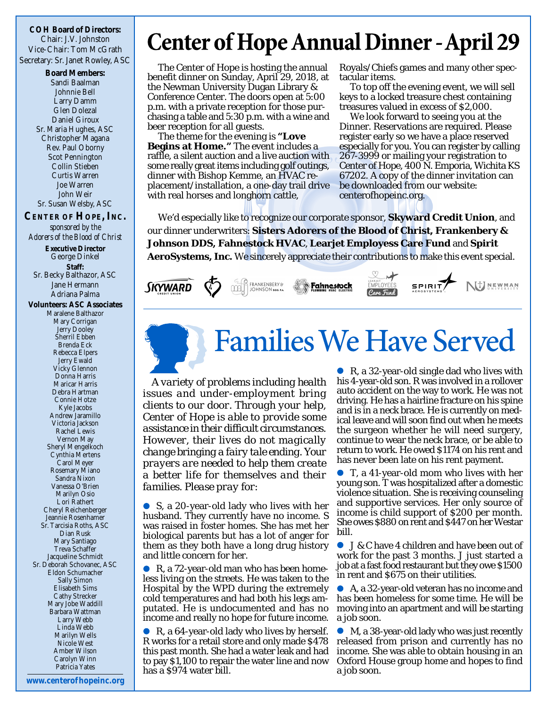**COH Board of Directors:** Chair: J.V. Johnston Vice-Chair: Tom McGrath Secretary: Sr. Janet Rowley, ASC

> **Board Members:** Sandi Baalman Johnnie Bell Larry Damm Glen Dolezal Daniel Giroux Sr. Maria Hughes, ASC Christopher Magana Rev. Paul Oborny Scot Pennington Collin Stieben Curtis Warren Joe Warren John Weir Sr. Susan Welsby, ASC

### **CENTER OF HOPE, INC.** *sponsored by the Adorers of the Blood of Christ* **Executive Director** George Dinkel **Staff:** Sr. Becky Balthazor, ASC Jane Hermann Adriana Palma **Volunteers: ASC Associates** Maralene Balthazor Mary Corrigan Jerry Dooley Sherril Ebben Brenda Eck Rebecca Elpers Jerry Ewald Vicky Glennon Donna Harris Maricar Harris Debra Hartman Connie Hotze Kyle Jacobs Andrew Jaramillo Victoria Jackson Rachel Lewis Vernon May Sheryl Mengelkoch Cynthia Mertens Carol Meyer Rosemary Miano Sandra Nixon Vanessa O'Brien Marilyn Osio Lori Rathert Cheryl Reichenberger Jeannie Rosenhamer Sr. Tarcisia Roths, ASC Dian Rusk Mary Santiago Treva Schaffer Jacqueline Schmidt Sr. Deborah Schovanec, ASC Eldon Schumacher Sally Simon Elisabeth Sims Cathy Strecker Mary Jobe Waddill Barbara Wattman Larry Webb

Linda Webb Marilyn Wells Nicole West Amber Wilson Carolyn Winn Patricia Yates

### **Center of Hope Annual Dinner - April 29**

The Center of Hope is hosting the annual benefit dinner on Sunday, April 29, 2018, at the Newman University Dugan Library & Conference Center. The doors open at 5:00 p.m. with a private reception for those purchasing a table and 5:30 p.m. with a wine and beer reception for all guests.

The theme for the evening is **"Love Begins at Home."** The event includes a raffle, a silent auction and a live auction with some really great items including golf outings, dinner with Bishop Kemme, an HVAC replacement/installation, a one-day trail drive with real horses and longhorn cattle,

Royals/Chiefs games and many other spectacular items.

To top off the evening event, we will sell keys to a locked treasure chest containing treasures valued in excess of \$2,000.

We look forward to seeing you at the Dinner. Reservations are required. Please register early so we have a place reserved especially for you. You can register by calling 267-3999 or mailing your registration to Center of Hope, 400 N. Emporia, Wichita KS 67202. A copy of the dinner invitation can be downloaded from our website: centerofhopeinc.org.

We'd especially like to recognize our corporate sponsor, **Skyward Credit Union**, and our dinner underwriters: **Sisters Adorers of the Blood of Christ, Frankenbery & Johnson DDS, Fahnestock HVAC**, **Learjet Employess Care Fund** and **Spirit AeroSystems, Inc.** We sincerely appreciate their contributions to make this event special.



## **Families We Have Served**

*A variety of problems including health issues and under-employment bring clients to our door. Through your help, Center of Hope is able to provide some assistance in their difficult circumstances. However, their lives do not magically change bringing a fairy tale ending. Your prayers are needed to help them create a better life for themselves and their families. Please pray for:*

S, a 20-year-old lady who lives with her husband. They currently have no income. S was raised in foster homes. She has met her biological parents but has a lot of anger for them as they both have a long drug history and little concern for her.

● R, a 72-year-old man who has been homeless living on the streets. He was taken to the Hospital by the WPD during the extremely cold temperatures and had both his legs amputated. He is undocumented and has no income and really no hope for future income.

● R, a 64-year-old lady who lives by herself. R works for a retail store and only made \$478 this past month. She had a water leak and had to pay \$1,100 to repair the water line and now has a \$974 water bill.

R, a 32-year-old single dad who lives with his 4-year-old son. R was involved in a rollover auto accident on the way to work. He was not driving. He has a hairline fracture on his spine and is in a neck brace. He is currently on medical leave and will soon find out when he meets the surgeon whether he will need surgery, continue to wear the neck brace, or be able to return to work. He owed \$1174 on his rent and has never been late on his rent payment.

T, a 41-year-old mom who lives with her young son. T was hospitalized after a domestic violence situation. She is receiving counseling and supportive services. Her only source of income is child support of \$200 per month. She owes \$880 on rent and \$447 on her Westar bill.

● J & C have 4 children and have been out of work for the past 3 months. J just started a job at a fast food restaurant but they owe \$1500 in rent and \$675 on their utilities.

A, a 32-year-old veteran has no income and has been homeless for some time. He will be moving into an apartment and will be starting a job soon.

M, a 38-year-old lady who was just recently released from prison and currently has no income. She was able to obtain housing in an Oxford House group home and hopes to find a job soon.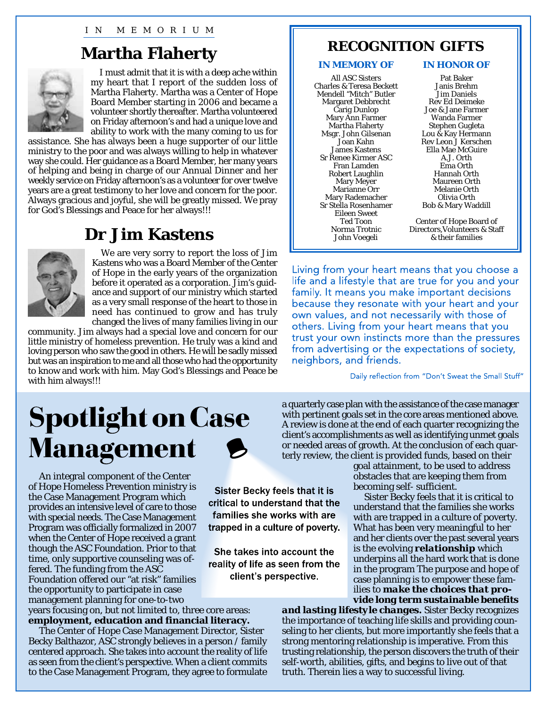### **Martha Flaherty**



I must admit that it is with a deep ache within my heart that I report of the sudden loss of Martha Flaherty. Martha was a Center of Hope Board Member starting in 2006 and became a volunteer shortly thereafter. Martha volunteered on Friday afternoon's and had a unique love and ability to work with the many coming to us for

assistance. She has always been a huge supporter of our little ministry to the poor and was always willing to help in whatever way she could. Her guidance as a Board Member, her many years of helping and being in charge of our Annual Dinner and her weekly service on Friday afternoon's as a volunteer for over twelve years are a great testimony to her love and concern for the poor. Always gracious and joyful, she will be greatly missed. We pray for God's Blessings and Peace for her always!!!

### **Dr Jim Kastens**



We are very sorry to report the loss of Jim Kastens who was a Board Member of the Center of Hope in the early years of the organization before it operated as a corporation. Jim's guidance and support of our ministry which started as a very small response of the heart to those in need has continued to grow and has truly changed the lives of many families living in our

community. Jim always had a special love and concern for our little ministry of homeless prevention. He truly was a kind and loving person who saw the good in others. He will be sadly missed but was an inspiration to me and all those who had the opportunity to know and work with him. May God's Blessings and Peace be with him always!!!

## **Spotlight on Case Management**

An integral component of the Center of Hope Homeless Prevention ministry is the Case Management Program which provides an intensive level of care to those with special needs. The Case Management Program was officially formalized in 2007 when the Center of Hope received a grant though the ASC Foundation. Prior to that time, only supportive counseling was offered. The funding from the ASC Foundation offered our "at risk" families the opportunity to participate in case management planning for one-to-two

years focusing on, but not limited to, three core areas: **employment, education and financial literacy.**

The Center of Hope Case Management Director, Sister Becky Balthazor, ASC strongly believes in a person / family centered approach. She takes into account the reality of life as seen from the client's perspective. When a client commits to the Case Management Program, they agree to formulate

### **RECOGNITION GIFTS**

### **IN MEMORY OF IN HONOR OF**

All ASC Sisters Charles & Teresa Beckett Mendell "Mitch" Butler Margaret Debbrecht Carig Dunlop Mary Ann Farmer Martha Flaherty Msgr. John Gilsenan Joan Kahn James Kastens Sr Renee Kirmer ASC Fran Lamden Robert Laughlin Mary Meyer Marianne Orr Mary Rademacher Sr Stella Rosenhamer Eileen Sweet Ted Toon Norma Trotnic John Voegeli

Pat Baker Janis Brehm Jim Daniels Rev Ed Deimeke Joe & Jane Farmer Wanda Farmer Stephen Gugleta Lou & Kay Hermann Rev Leon J Kerschen Ella Mae McGuire A.J. Orth Ema Orth Hannah Orth Maureen Orth Melanie Orth Olivia Orth Bob & Mary Waddill

Center of Hope Board of Directors,Volunteers & Staff & their families

Living from your heart means that you choose a life and a lifestyle that are true for you and your family. It means you make important decisions because they resonate with your heart and your own values, and not necessarily with those of others. Living from your heart means that you trust your own instincts more than the pressures from advertising or the expectations of society, neighbors, and friends.

Daily reflection from "Don't Sweat the Small Stuff"

a quarterly case plan with the assistance of the case manager with pertinent goals set in the core areas mentioned above. A review is done at the end of each quarter recognizing the client's accomplishments as well as identifying unmet goals or needed areas of growth. At the conclusion of each quarterly review, the client is provided funds, based on their

> goal attainment, to be used to address obstacles that are keeping them from becoming self- sufficient.

Sister Becky feels that it is critical to understand that the families she works with are trapped in a culture of poverty. What has been very meaningful to her and her clients over the past several years is the evolving *relationship* which underpins all the hard work that is done in the program The purpose and hope of case planning is to empower these families to *make the choices that provide long term sustainable benefits*

*and lasting lifestyle changes.* Sister Becky recognizes the importance of teaching life skills and providing counseling to her clients, but more importantly she feels that a strong mentoring relationship is imperative. From this trusting relationship, the person discovers the truth of their self-worth, abilities, gifts, and begins to live out of that truth. Therein lies a way to successful living.



**Sister Becky feels that it is** critical to understand that the families she works with are trapped in a culture of poverty.

She takes into account the reality of life as seen from the client's perspective.